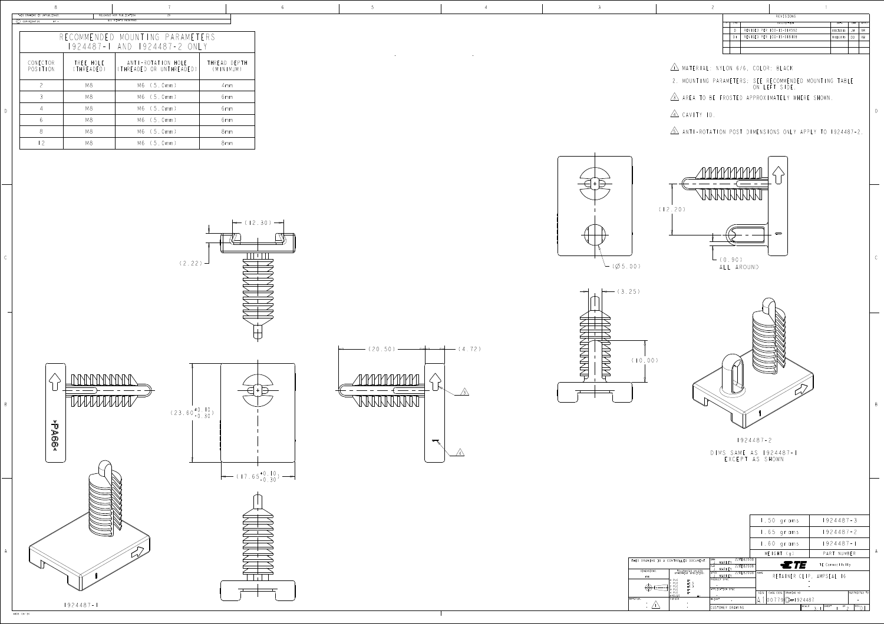D

B

D

| RELEASED FOR PUBLICATION<br>ALL RIGHTS RESERVED. |  |  | REVISIONS                    |  |
|--------------------------------------------------|--|--|------------------------------|--|
|                                                  |  |  | DESCRIPTION                  |  |
|                                                  |  |  | I A DEVICED PER FCO-15-01455 |  |
| RECOMMENDED MOUNTING PARAMETERS                  |  |  | REVISED PER ECO-15-018109    |  |
| 1924487-1 AND 1924487-2 ONLY                     |  |  |                              |  |
|                                                  |  |  |                              |  |

<u>IN</u> MATERIAL: NYLON 6/6, COLOR:



 2. MOUNTING PARAMETERS: SEE RECOMMENDED MOUNTING TABLE ON LEFT SIDE.

<u>3 Area to be frosted approximately</u> where



| THIS DRAWING IS UNPUBLISHED.<br>KELEASED FOR PUBLICATION<br>7 U |                              |                                                |                           |  |  |  |  |  |
|-----------------------------------------------------------------|------------------------------|------------------------------------------------|---------------------------|--|--|--|--|--|
| COPYRIGHT 20<br>$BY -$                                          |                              | ALL RIGHTS RESERVED.                           |                           |  |  |  |  |  |
|                                                                 |                              |                                                |                           |  |  |  |  |  |
|                                                                 |                              | RECOMMENDED MOUNTING PARAMETERS                |                           |  |  |  |  |  |
|                                                                 | 1924487-1 AND 1924487-2 ONLY |                                                |                           |  |  |  |  |  |
| CONECTOR<br>POSITION                                            | TREE HOLE<br>(THREADED)      | ANTI-ROTATION HOLE<br>(THREADED OR UNTHREADED) | THREAD DEPTH<br>(MINIMUM) |  |  |  |  |  |
| $\overline{\phantom{0}}$                                        | M8                           | M6 (5.0mm)                                     | 4mm                       |  |  |  |  |  |
| $\mathcal{S}$                                                   | M8                           | M6 (5.0mm)                                     | 6 mm                      |  |  |  |  |  |
| 4                                                               | M8                           | M6 (5.0mm)                                     | 6 mm                      |  |  |  |  |  |
| 6                                                               | M8                           | M6 (5.0mm)                                     | 6 <sub>mm</sub>           |  |  |  |  |  |
| 8                                                               | M8                           | M6 (5,0mm)                                     | 8 <sub>mm</sub>           |  |  |  |  |  |
| -2                                                              | M8                           | M6 (5.0mm)                                     | 8 <sub>mm</sub>           |  |  |  |  |  |







4 CAVITY ID.

<u>5\</u> Anti-rotation post dimensions only apply to

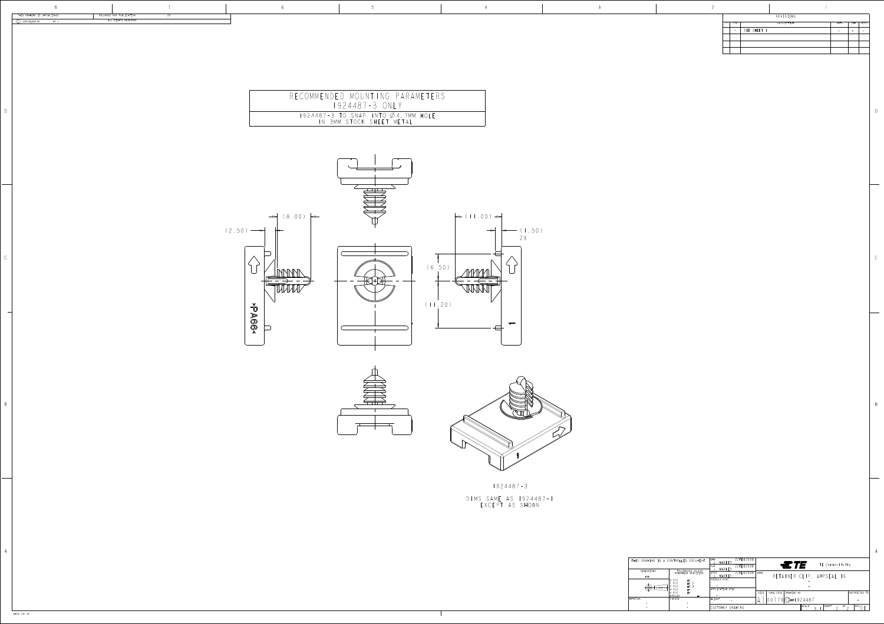## REVISIONS

DWN 22FEB2008  $ETE$ TE Connectivity <u>J. MAKNI</u> CHK 22FEB2008 <u>J. MAKNI</u> DIMENSIONS: TOLERANCES UNLES<br>OTHERWISE SPECIFI AP V 22FEB2008 NAME RETAINER CLIP, AMPSEAL 16 <u>J. MARNI</u> PRODUCT SPEC 0 PLC - - 1 PLC  $\mathsf{U}$  ,  $\mathsf{U}$ - 2 PLC  $\mathsf{U}$  , . - 3 PLC - APPLICATION S SIZE | CAGE CODE | DRAWING NO RESTRICTED TO  $-\pm$ -4 PL NGLE - - WEIGHT <u>A ||00779|UF 192448</u> - - - - - - - - - <u>- - - - -</u> CUSTOMER DRAWING SCALE  $3:1$  <sup>SHEET</sup> 2 <sup>OF</sup> 2 **PLU** 

D

B

A A

4805 (3/13)

|     | <b>REVISIONS</b> |      |     |      |
|-----|------------------|------|-----|------|
| LTR | DESCRIPTION      | DATE | DWN | APVD |
|     | SEE SHEET I      |      |     |      |
|     |                  |      |     |      |
|     |                  |      |     |      |
|     |                  |      |     |      |
|     |                  |      |     |      |

| THIS DRAWING IS UNPUBLISHED.<br>$(C)$ COPYRIGHT 20 BY - | RELEASED FOR PUBLICATION<br>ALL RIGHTS RESERVED. | 20 |                                    |                                                                                                                                                 |                                    |  | REVISIONS<br>DESCRIPTION<br>P LTR | DATE DWN APVD |
|---------------------------------------------------------|--------------------------------------------------|----|------------------------------------|-------------------------------------------------------------------------------------------------------------------------------------------------|------------------------------------|--|-----------------------------------|---------------|
|                                                         |                                                  |    |                                    |                                                                                                                                                 |                                    |  |                                   |               |
|                                                         |                                                  |    |                                    |                                                                                                                                                 |                                    |  |                                   | $-$<br>___    |
|                                                         |                                                  |    |                                    |                                                                                                                                                 |                                    |  |                                   |               |
|                                                         |                                                  |    |                                    |                                                                                                                                                 |                                    |  |                                   |               |
|                                                         |                                                  |    |                                    |                                                                                                                                                 |                                    |  |                                   |               |
|                                                         |                                                  |    |                                    | RECOMMENDED MOUNTING PARAMETERS<br>1924487-3 ONLY                                                                                               |                                    |  |                                   |               |
|                                                         |                                                  |    |                                    | $\begin{tabular}{c cccccc} \hline & 1924487 - 3 & TO & SNAP & INTO & \& 4.7MM & HOLE \\ \hline & IN & 3MM & STOCK & SHEET METAL. \end{tabular}$ |                                    |  |                                   |               |
|                                                         |                                                  |    |                                    |                                                                                                                                                 |                                    |  |                                   |               |
|                                                         |                                                  |    |                                    |                                                                                                                                                 |                                    |  |                                   |               |
|                                                         |                                                  |    |                                    |                                                                                                                                                 |                                    |  |                                   |               |
|                                                         |                                                  |    |                                    |                                                                                                                                                 |                                    |  |                                   |               |
|                                                         |                                                  |    |                                    | يكطيطهم                                                                                                                                         |                                    |  |                                   |               |
|                                                         |                                                  |    |                                    |                                                                                                                                                 |                                    |  |                                   |               |
|                                                         |                                                  |    | $\rightarrow$ (8.00) $\rightarrow$ |                                                                                                                                                 | $\leftarrow$ (11.00) $\rightarrow$ |  |                                   |               |
|                                                         |                                                  |    | $(2.50)$ $\rightarrow$             |                                                                                                                                                 | $\leftarrow$ (1.50)<br>2X          |  |                                   |               |
|                                                         |                                                  |    |                                    |                                                                                                                                                 |                                    |  |                                   |               |
|                                                         |                                                  |    |                                    |                                                                                                                                                 |                                    |  |                                   |               |
|                                                         |                                                  |    | MMMM<br>ىـــا<br>-⊞⊞               |                                                                                                                                                 | (6.50)<br>mml                      |  |                                   |               |
|                                                         |                                                  |    | $\sqrt{WW}$                        | $H\subset$<br>_____<br>— — —                                                                                                                    | <b>WWWW</b>                        |  |                                   |               |
|                                                         |                                                  |    |                                    |                                                                                                                                                 | (11.20)                            |  |                                   |               |
|                                                         |                                                  |    | $\log_{\text{S}}$                  |                                                                                                                                                 |                                    |  |                                   |               |
|                                                         |                                                  |    | $\Box$<br>$\sqrt{2}$               |                                                                                                                                                 | $\rightarrow$<br>$\overline{\Box}$ |  |                                   |               |
|                                                         |                                                  |    |                                    |                                                                                                                                                 |                                    |  |                                   |               |
|                                                         |                                                  |    |                                    |                                                                                                                                                 |                                    |  |                                   |               |
|                                                         |                                                  |    |                                    |                                                                                                                                                 |                                    |  |                                   |               |
|                                                         |                                                  |    |                                    |                                                                                                                                                 |                                    |  |                                   |               |
|                                                         |                                                  |    |                                    |                                                                                                                                                 |                                    |  |                                   |               |
|                                                         |                                                  |    |                                    |                                                                                                                                                 |                                    |  |                                   |               |
|                                                         |                                                  |    |                                    |                                                                                                                                                 |                                    |  |                                   |               |
|                                                         |                                                  |    |                                    |                                                                                                                                                 |                                    |  |                                   |               |
|                                                         |                                                  |    |                                    |                                                                                                                                                 |                                    |  |                                   |               |
|                                                         |                                                  |    |                                    |                                                                                                                                                 |                                    |  |                                   |               |







1924487-3 DIMS SAME AS 1924487-1 EXCEPT AS SHOWN